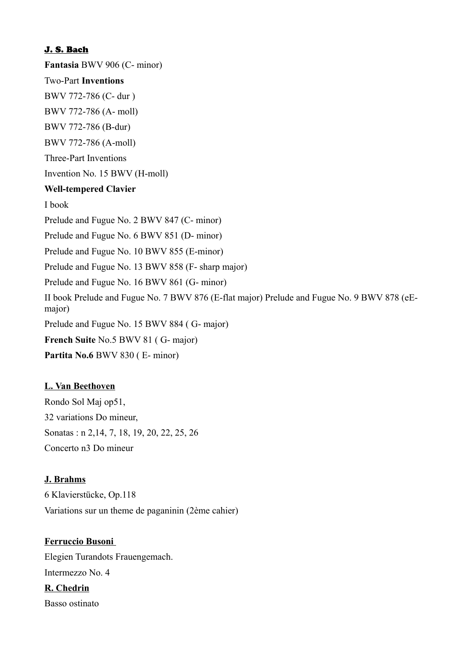#### J. S. Bach

**Fantasia** BWV 906 (C- minor)

#### Two-Part **Inventions**

BWV 772-786 (C- dur )

BWV 772-786 (A- moll)

BWV 772-786 (B-dur)

BWV 772-786 (A-moll)

Three-Part Inventions

Invention No. 15 BWV (H-moll)

#### **Well-tempered Clavier**

I book

Prelude and Fugue No. 2 BWV 847 (C- minor)

Prelude and Fugue No. 6 BWV 851 (D- minor)

Prelude and Fugue No. 10 BWV 855 (E-minor)

Prelude and Fugue No. 13 BWV 858 (F- sharp major)

Prelude and Fugue No. 16 BWV 861 (G- minor)

II book Prelude and Fugue No. 7 BWV 876 (E-flat major) Prelude and Fugue No. 9 BWV 878 (eEmajor)

Prelude and Fugue No. 15 BWV 884 ( G- major)

**French Suite** No.5 BWV 81 ( G- major)

**Partita No.6** BWV 830 ( E- minor)

## **L. Van Beethoven**

Rondo Sol Maj op51, 32 variations Do mineur, Sonatas : n 2,14, 7, 18, 19, 20, 22, 25, 26 Concerto n3 Do mineur

#### **J. Brahms**

6 Klavierstücke, Op.118 Variations sur un theme de paganinin (2ème cahier)

#### **Ferruccio Busoni**

Elegien Turandots Frauengemach. Intermezzo No. 4 **R. Chedrin** Basso ostinato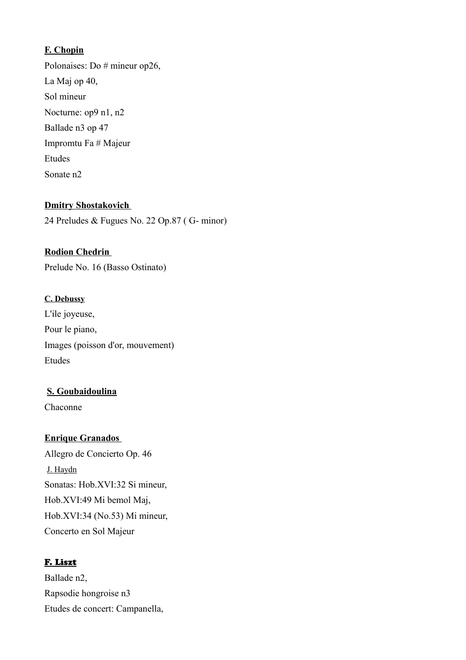## **F. Chopin**

Polonaises: Do # mineur op26, La Maj op 40, Sol mineur Nocturne: op9 n1, n2 Ballade n3 op 47 Impromtu Fa # Majeur Etudes Sonate n2

## **Dmitry Shostakovich**

24 Preludes & Fugues No. 22 Op.87 ( G- minor)

## **Rodion Chedrin**

Prelude No. 16 (Basso Ostinato)

## **C. Debussy**

L'ile joyeuse, Pour le piano, Images (poisson d'or, mouvement) Etudes

## **S. Goubaidoulina**

Chaconne

## **Enrique Granados**

Allegro de Concierto Op. 46 J. Haydn Sonatas: Hob.XVI:32 Si mineur, Hob.XVI:49 Mi bemol Maj, Hob.XVI:34 (No.53) Mi mineur, Concerto en Sol Majeur

## F. Liszt

Ballade n2, Rapsodie hongroise n3 Etudes de concert: Campanella,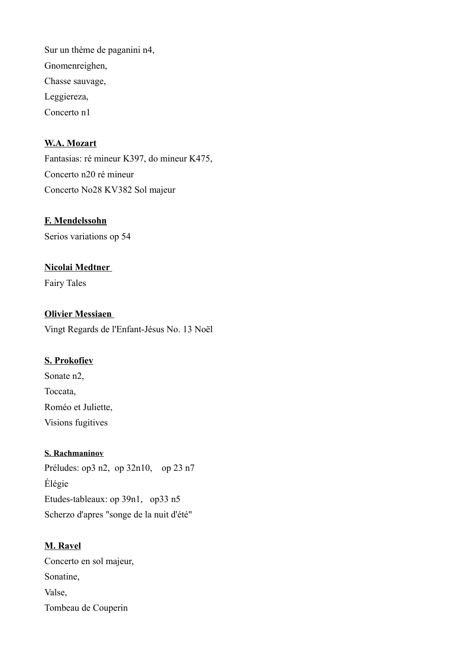Sur un thème de paganini n4, Gnomenreighen, Chasse sauvage, Leggiereza, Concerto n1

## **W.A. Mozart**

Fantasias: ré mineur K397, do mineur K475, Concerto n20 ré mineur Concerto No28 KV382 Sol majeur

#### **F. Mendelssohn**

Serios variations op 54

#### **Nicolai Medtner**

Fairy Tales

#### **Olivier Messiaen**

Vingt Regards de l'Enfant-Jésus No. 13 Noël

## **S. Prokofiev**

Sonate n2, Toccata, Roméo et Juliette, Visions fugitives

#### **S. Rachmaninov**

Préludes: op3 n2, op 32n10, op 23 n7 Élégie Etudes-tableaux: op 39n1, op33 n5 Scherzo d'apres "songe de la nuit d'été"

## **M. Ravel**

Concerto en sol majeur, Sonatine, Valse, Tombeau de Couperin